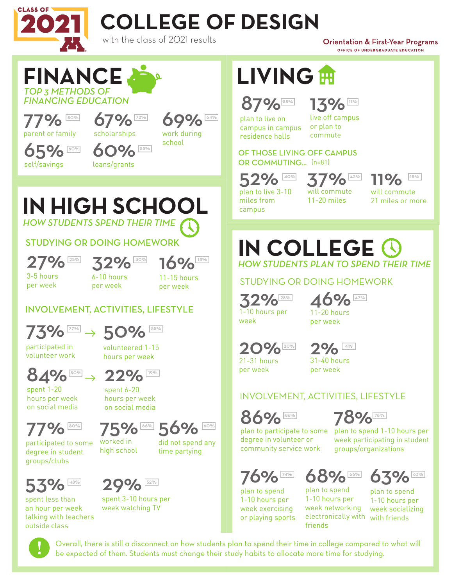

### **COLLEGE OF DESIGN**

with the class of 2021 results

**Orientation & First-Year Programs** OFFICE OF UNDERGRADUATE EDUCATION